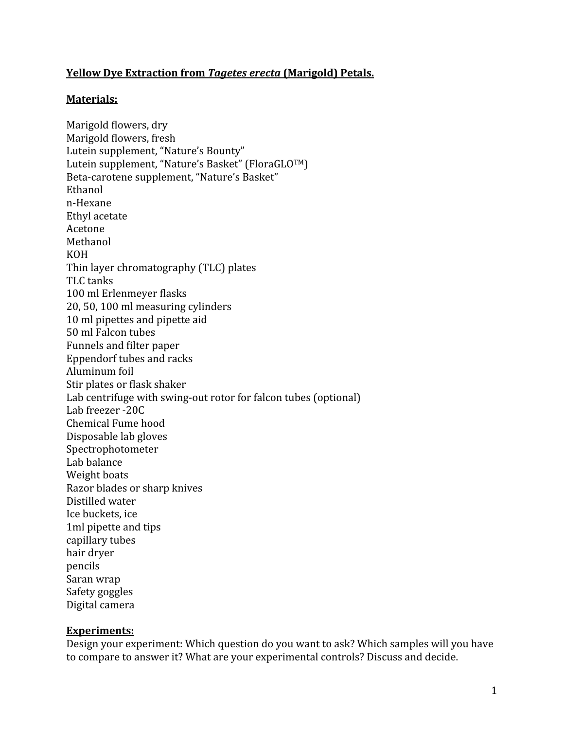### **Yellow
Dye
Extraction
from** *Tagetes
erecta* **(Marigold)
Petals.**

#### **Materials:**

Marigold
flowers,
dry Marigold
flowers,
fresh Lutein
supplement,
"Nature's
Bounty" Lutein supplement, "Nature's Basket" (FloraGLO™) Beta‐carotene
supplement,
"Nature's
Basket" Ethanol n‐Hexane Ethyl
acetate Acetone Methanol KOH Thin
layer
chromatography
(TLC)
plates TLC
tanks 100
ml
Erlenmeyer
flasks 20,
50,
100
ml
measuring
cylinders 10
ml
pipettes
and
pipette
aid 50
ml
Falcon
tubes Funnels
and
filter
paper Eppendorf
tubes
and
racks Aluminum
foil Stir
plates
or
flask
shaker Lab centrifuge with swing-out rotor for falcon tubes (optional) Lab
freezer
‐20C Chemical
Fume
hood Disposable
lab
gloves Spectrophotometer Lab
balance Weight
boats Razor
blades
or
sharp
knives Distilled
water Ice
buckets,
ice 1ml
pipette
and
tips capillary
tubes hair
dryer pencils Saran
wrap Safety
goggles Digital
camera

#### **Experiments:**

Design your experiment: Which question do you want to ask? Which samples will you have to compare to answer it? What are your experimental controls? Discuss and decide.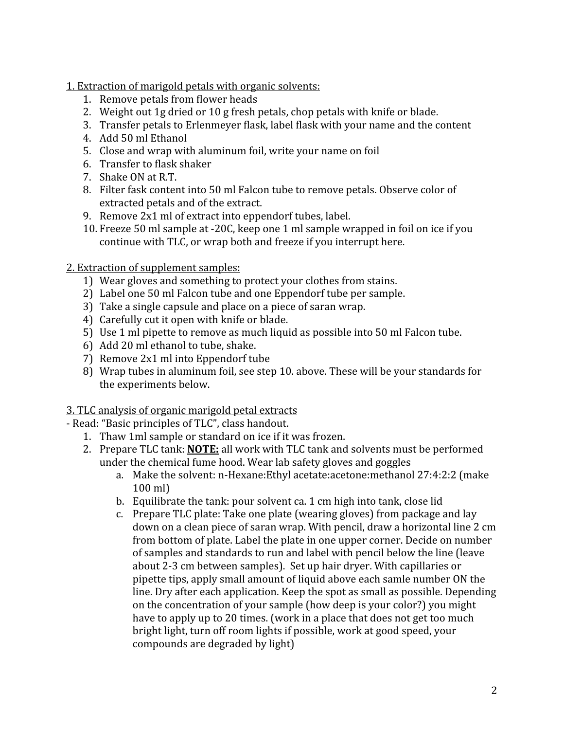1.
Extraction
of
marigold
petals
with
organic
solvents:

- 1. Remove
petals
from
flower
heads
- 2. Weight
out
1g
dried
or
10
g
fresh
petals,
chop
petals
with
knife
or
blade.
- 3. Transfer
petals
to
Erlenmeyer
flask,
label
flask
with
your
name
and
the
content
- 4. Add
50
ml
Ethanol
- 5. Close
and
wrap
with
aluminum
foil,
write
your
name
on
foil
- 6. Transfer
to
flask
shaker
- 7. Shake
ON
at
R.T.
- 8. Filter
fask
content
into
50
ml
Falcon
tube
to
remove
petals.
Observe
color
of extracted
petals
and
of
the
extract.
- 9. Remove 2x1 ml of extract into eppendorf tubes, label.
- 10. Freeze
50
ml
sample
at
‐20C,
keep
one
1
ml
sample
wrapped
in
foil
on
ice
if
you continue
with
TLC,
or
wrap
both
and
freeze
if
you
interrupt
here.

2.
Extraction
of
supplement
samples:

- 1) Wear
gloves
and
something
to
protect
your
clothes
from
stains.
- 2) Label
one
50
ml
Falcon
tube
and
one
Eppendorf
tube
per
sample.
- 3) Take
a
single
capsule
and
place
on
a
piece
of
saran
wrap.
- 4) Carefully
cut
it
open
with
knife
or
blade.
- 5) Use
1
ml
pipette
to
remove
as
much
liquid
as
possible
into
50
ml
Falcon
tube.
- 6) Add
20
ml
ethanol
to
tube,
shake.
- 7) Remove
2x1 ml
into
Eppendorf
tube
- 8) Wrap tubes in aluminum foil, see step 10. above. These will be your standards for the
experiments
below.

3.
TLC
analysis
of
organic
marigold
petal
extracts

- ‐
Read:
"Basic
principles
of
TLC",
class
handout.
	- 1. Thaw
	1ml
	sample
	or
	standard
	on
	ice
	if
	it
	was
	frozen.
	- 2. Prepare TLC tank: **NOTE:** all work with TLC tank and solvents must be performed under
	the
	chemical
	fume
	hood.
	Wear
	lab
	safety
	gloves
	and
	goggles
		- a. Make the solvent: n-Hexane: Ethyl acetate: acetone: methanol 27:4:2:2 (make 100
		ml)
		- b. Equilibrate the tank: pour solvent ca. 1 cm high into tank, close lid
		- c. Prepare
		TLC
		plate:
		Take
		one
		plate
		(wearing
		gloves)
		from
		package
		and
		lay down
		on
		a
		clean
		piece
		of
		saran
		wrap.
		With
		pencil,
		draw
		a
		horizontal
		line
		2
		cm from
		bottom
		of
		plate.
		Label
		the
		plate
		in
		one
		upper
		corner.
		Decide
		on
		number of
		samples
		and
		standards
		to
		run
		and
		label
		with
		pencil
		below
		the
		line
		(leave about
		2‐3
		cm
		between
		samples).
		
		Set
		up
		hair
		dryer.
		With
		capillaries
		or pipette
		tips,
		apply
		small
		amount
		of
		liquid
		above
		each
		samle
		number
		ON
		the line.
		Dry
		after
		each
		application.
		Keep
		the
		spot
		as
		small
		as
		possible.
		Depending on
		the
		concentration
		of
		your
		sample
		(how
		deep
		is
		your
		color?)
		you
		might have to apply up to 20 times. (work in a place that does not get too much bright
		light,
		turn
		off
		room
		lights
		if
		possible,
		work
		at
		good
		speed,
		your compounds
		are
		degraded
		by
		light)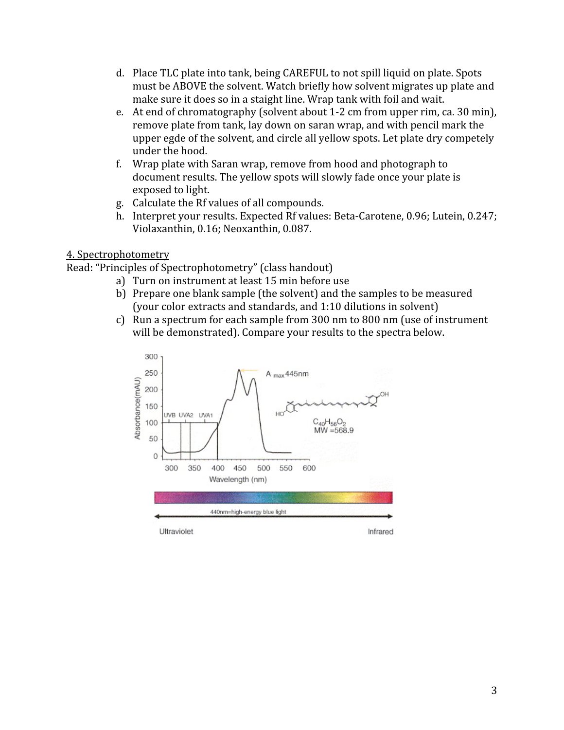- d. Place TLC plate into tank, being CAREFUL to not spill liquid on plate. Spots must be ABOVE the solvent. Watch briefly how solvent migrates up plate and make sure it does so in a staight line. Wrap tank with foil and wait.
- e. At
end
of
chromatography
(solvent
about
1‐2
cm
from
upper
rim,
ca.
30
min), remove
plate
from
tank,
lay
down
on
saran
wrap,
and
with
pencil
mark
the upper
egde
of
the
solvent,
and
circle
all
yellow
spots.
Let
plate
dry
competely under
the
hood.
- f. Wrap
plate
with
Saran
wrap,
remove
from
hood
and
photograph
to document results. The yellow spots will slowly fade once your plate is exposed
to
light.
- g. Calculate
the
Rf
values
of
all
compounds.
- h. Interpret your results. Expected Rf values: Beta-Carotene, 0.96; Lutein, 0.247; Violaxanthin,
0.16;
Neoxanthin,
0.087.

## 4.
Spectrophotometry

Read:
"Principles
of
Spectrophotometry"
(class
handout)

- a) Turn
on
instrument
at
least
15
min
before
use
- b) Prepare one blank sample (the solvent) and the samples to be measured (your
color
extracts
and
standards,
and
1:10
dilutions
in
solvent)
- c) Run
a
spectrum
for
each
sample
from
300
nm
to
800
nm
(use
of
instrument will be demonstrated). Compare your results to the spectra below.

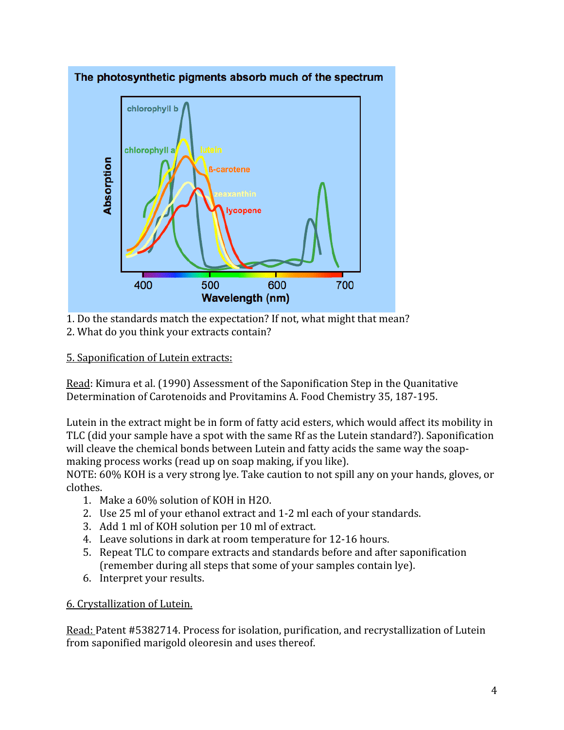

1.
Do
the
standards
match
the
expectation?
If
not,
what
might
that
mean?

2. What do you think your extracts contain?

# 5.
Saponification
of
Lutein
extracts:

Read:
Kimura
et
al.
(1990)
Assessment
of
the
Saponification
Step
in
the
Quanitative Determination
of
Carotenoids
and
Provitamins
A.
Food
Chemistry
35,
187‐195.

Lutein in the extract might be in form of fatty acid esters, which would affect its mobility in TLC
(did
your
sample
have
a
spot
with
the
same
Rf
as
the
Lutein
standard?).
Saponification will cleave the chemical bonds between Lutein and fatty acids the same way the soapmaking
process
works
(read
up
on
soap
making,
if
you
like).

NOTE: 60% KOH is a very strong lye. Take caution to not spill any on your hands, gloves, or clothes.

- 1. Make
a
60%
solution
of
KOH
in
H2O.
- 2. Use
25
ml
of
your
ethanol
extract
and
1‐2
ml
each
of
your
standards.
- 3. Add
1
ml
of
KOH
solution
per
10
ml
of
extract.
- 4. Leave solutions in dark at room temperature for 12-16 hours.
- 5. Repeat
TLC
to
compare
extracts
and
standards
before
and
after
saponification (remember
during
all
steps
that
some
of
your
samples
contain
lye).
- 6. Interpret
your
results.

## 6.
Crystallization
of
Lutein.

Read: Patent #5382714. Process for isolation, purification, and recrystallization of Lutein from
saponified
marigold
oleoresin
and
uses
thereof.